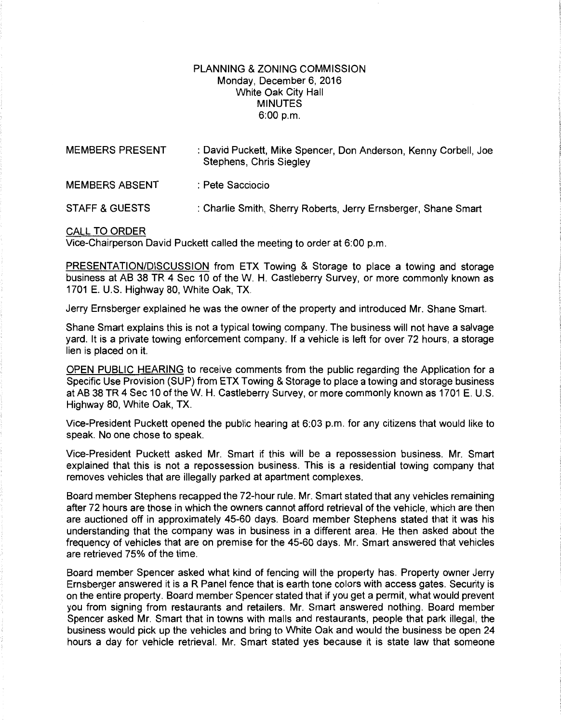## PLANNING & ZONING COMMISSION Monday, December 6, 2016 White Oak City Hall MINUTES 6:00 p.m.

| <b>MEMBERS PRESENT</b> | : David Puckett, Mike Spencer, Don Anderson, Kenny Corbell, Joe<br>Stephens, Chris Siegley |
|------------------------|--------------------------------------------------------------------------------------------|
| <b>MEMBERS ABSENT</b>  | : Pete Sacciocio                                                                           |
| STAFF & GUESTS         | : Charlie Smith, Sherry Roberts, Jerry Ernsberger, Shane Smart                             |

## CALL TO ORDER

Vice-Chairperson David Puckett called the meeting to order at 6:00 p.m.

PRESENTATION/DISCUSSION from ETX Towing & Storage to place a towing and storage business at AB 38 TR 4 Sec 10 of the W. H. Castleberry Survey, or more commonly known as 1701 E. U.S. Highway 80, White Oak, TX.

Jerry Ernsberger explained he was the owner of the property and introduced Mr. Shane Smart.

Shane Smart explains this is not a typical towing company. The business will not have a salvage yard. It is a private towing enforcement company. If a vehicle is left for over 72 hours, a storage lien is placed on it.

OPEN PUBLIC HEARING to receive comments from the public regarding the Application for a Specific Use Provision (SUP) from ETX Towing & Storage to place a towing and storage business at AB 38 TR 4 Sec 10 of theW. H. Castleberry Survey, or more commonly known as 1701 E. U.S. Highway 80, White Oak, TX.

Vice-President Puckett opened the public hearing at 6:03p.m. for any citizens that would like to speak. No one chose to speak.

Vice-President Puckett asked Mr. Smart if this will be a repossession business. Mr. Smart explained that this is not a repossession business. This is a residential towing company that removes vehicles that are illegally parked at apartment complexes.

Board member Stephens recapped the 72-hour rule. Mr. Smart stated that any vehicles remaining after 72 hours are those in which the owners cannot afford retrieval of the vehicle, which are then are auctioned off in approximately 45-60 days. Board member Stephens stated that it was his understanding that the company was in business in a different area. He then asked about the frequency of vehicles that are on premise for the 45-60 days. Mr. Smart answered that vehicles are retrieved 75% of the time.

Board member Spencer asked what kind of fencing will the property has. Property owner Jerry Ernsberger answered it is a R Panel fence that is earth tone colors with access gates. Security is on the entire property. Board member Spencer stated that if you get a permit, what would prevent you from signing from restaurants and retailers. Mr. Smart answered nothing. Board member Spencer asked Mr. Smart that in towns with malls and restaurants, people that park illegal, the business would pick up the vehicles and bring to White Oak and would the business be open 24 hours a day for vehicle retrieval. Mr. Smart stated yes because it is state law that someone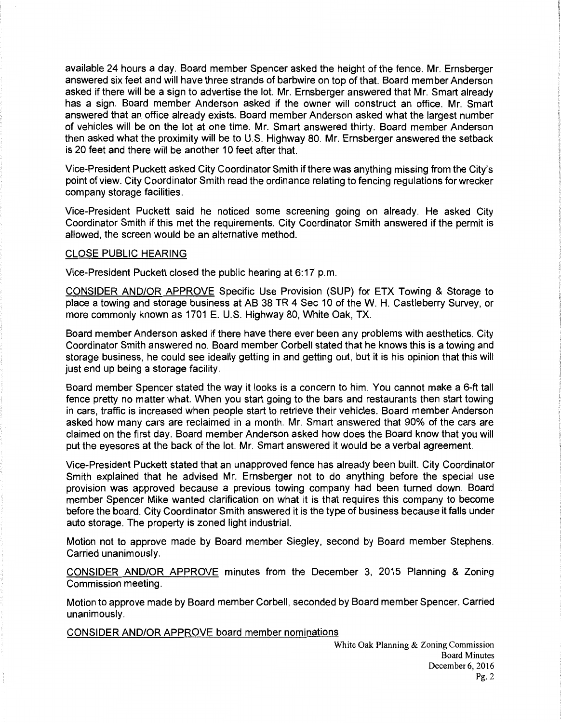available 24 hours a day. Board member Spencer asked the height of the fence. Mr. Ernsberger answered six feet and will have three strands of barbwire on top of that. Board member Anderson asked if there will be a sign to advertise the lot. Mr. Ernsberger answered that Mr. Smart already has a sign. Board member Anderson asked if the owner will construct an office. Mr. Smart answered that an office already exists. Board member Anderson asked what the largest number of vehicles will be on the lot at one time. Mr. Smart answered thirty. Board member Anderson then asked what the proximity will be to U.S. Highway 80. Mr. Ernsberger answered the setback is 20 feet and there will be another 10 feet after that.

Vice-President Puckett asked City Coordinator Smith if there was anything missing from the City's point of view. City Coordinator Smith read the ordinance relating to fencing regulations for wrecker company storage facilities.

Vice-President Puckett said he noticed some screening going on already. He asked City Coordinator Smith if this met the requirements. City Coordinator Smith answered if the permit is allowed, the screen would be an alternative method.

## CLOSE PUBLIC HEARING

Vice-President Puckett closed the public hearing at 6:17 p.m.

CONSIDER AND/OR APPROVE Specific Use Provision (SUP) for ETX Towing & Storage to place a towing and storage business at AB 38 TR 4 Sec 10 of theW. H. Castleberry Survey, or more commonly known as 1701 E. U.S. Highway 80, White Oak, TX.

Board member Anderson asked if there have there ever been any problems with aesthetics. City Coordinator Smith answered no. Board member Corbell stated that he knows this is a towing and storage business, he could see ideally getting in and getting out, but it is his opinion that this will just end up being a storage facility.

Board member Spencer stated the way it looks is a concern to him. You cannot make a 6-ft tall fence pretty no matter what. When you start going to the bars and restaurants then start towing in cars, traffic is increased when people start to retrieve their vehicles. Board member Anderson asked how many cars are reclaimed in a month. Mr. Smart answered that 90% of the cars are claimed on the first day. Board member Anderson asked how does the Board know that you will put the eyesores at the back of the lot. Mr. Smart answered it would be a verbal agreement.

Vice-President Puckett stated that an unapproved fence has already been built. City Coordinator Smith explained that he advised Mr. Ernsberger not to do anything before the special use provision was approved because a previous towing company had been turned down. Board member Spencer Mike wanted clarification on what it is that requires this company to become before the board. City Coordinator Smith answered it is the type of business because it falls under auto storage. The property is zoned light industrial.

Motion not to approve made by Board member Siegley, second by Board member Stephens. Carried unanimously.

CONSIDER AND/OR APPROVE minutes from the December 3, 2015 Planning & Zoning Commission meeting.

Motion to approve made by Board member Corbell, seconded by Board member Spencer. Carried unanimously.

CONSIDER AND/OR APPROVE board member nominations